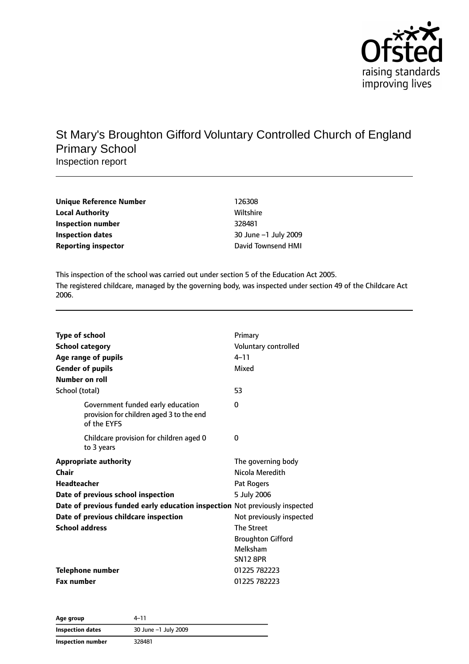

## St Mary's Broughton Gifford Voluntary Controlled Church of England Primary School Inspection report

| Unique Reference Number    | 126308               |
|----------------------------|----------------------|
| <b>Local Authority</b>     | Wiltshire            |
| Inspection number          | 328481               |
| Inspection dates           | 30 June -1 July 2009 |
| <b>Reporting inspector</b> | David Townsend HMI   |

This inspection of the school was carried out under section 5 of the Education Act 2005. The registered childcare, managed by the governing body, was inspected under section 49 of the Childcare Act 2006.

| <b>Type of school</b><br><b>School category</b><br>Age range of pupils<br><b>Gender of pupils</b><br>Number on roll | Primary<br>Voluntary controlled<br>$4 - 11$<br>Mixed |
|---------------------------------------------------------------------------------------------------------------------|------------------------------------------------------|
| School (total)                                                                                                      | 53                                                   |
| Government funded early education<br>provision for children aged 3 to the end<br>of the EYFS                        | $\Omega$                                             |
| Childcare provision for children aged 0<br>to 3 years                                                               | 0                                                    |
| <b>Appropriate authority</b>                                                                                        | The governing body                                   |
| Chair                                                                                                               | Nicola Meredith                                      |
| <b>Headteacher</b>                                                                                                  | Pat Rogers                                           |
| Date of previous school inspection                                                                                  | 5 July 2006                                          |
| Date of previous funded early education inspection Not previously inspected                                         |                                                      |
| Date of previous childcare inspection                                                                               | Not previously inspected                             |
| <b>School address</b>                                                                                               | <b>The Street</b>                                    |
|                                                                                                                     | <b>Broughton Gifford</b>                             |
|                                                                                                                     | Melksham                                             |
|                                                                                                                     | <b>SN12 8PR</b>                                      |
| <b>Telephone number</b>                                                                                             | 01225 782223                                         |
| <b>Fax number</b>                                                                                                   | 01225 782223                                         |

| Age group         | 4–11                 |  |
|-------------------|----------------------|--|
| Inspection dates  | 30 June -1 July 2009 |  |
| Inspection number | 328481               |  |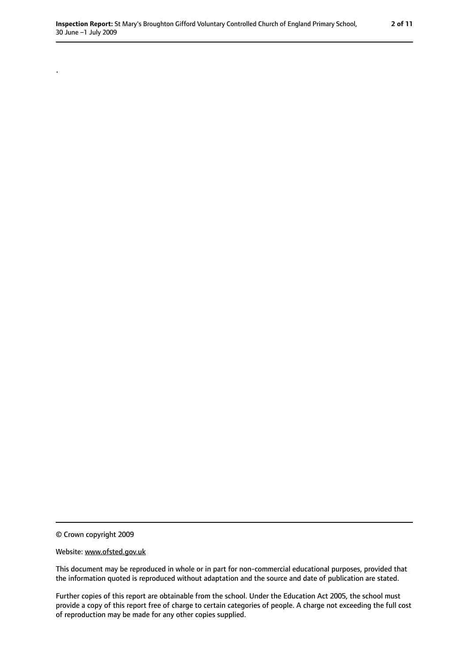© Crown copyright 2009

.

#### Website: www.ofsted.gov.uk

This document may be reproduced in whole or in part for non-commercial educational purposes, provided that the information quoted is reproduced without adaptation and the source and date of publication are stated.

Further copies of this report are obtainable from the school. Under the Education Act 2005, the school must provide a copy of this report free of charge to certain categories of people. A charge not exceeding the full cost of reproduction may be made for any other copies supplied.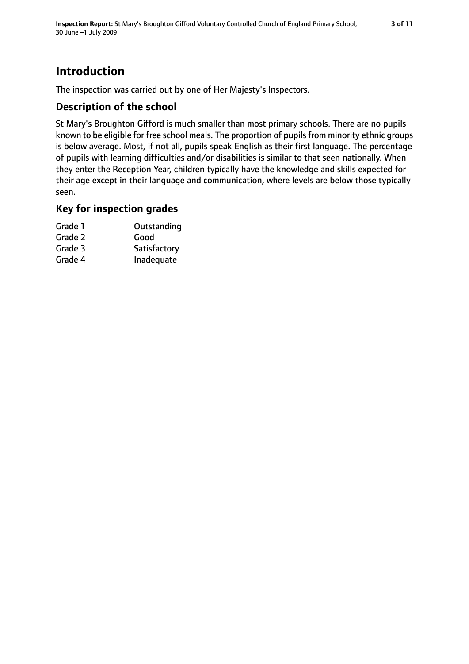## **Introduction**

The inspection was carried out by one of Her Majesty's Inspectors.

## **Description of the school**

St Mary's Broughton Gifford is much smaller than most primary schools. There are no pupils known to be eligible for free school meals. The proportion of pupils from minority ethnic groups is below average. Most, if not all, pupils speak English as their first language. The percentage of pupils with learning difficulties and/or disabilities is similar to that seen nationally. When they enter the Reception Year, children typically have the knowledge and skills expected for their age except in their language and communication, where levels are below those typically seen.

### **Key for inspection grades**

| Grade 1 | Outstanding  |
|---------|--------------|
| Grade 2 | Good         |
| Grade 3 | Satisfactory |
| Grade 4 | Inadequate   |
|         |              |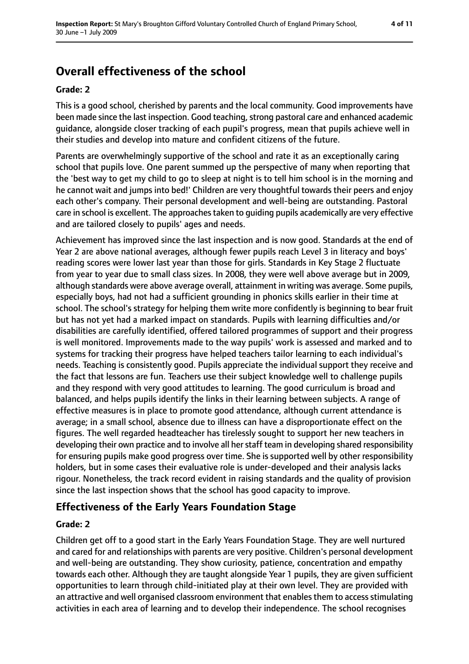# **Overall effectiveness of the school**

## **Grade: 2**

This is a good school, cherished by parents and the local community. Good improvements have been made since the last inspection. Good teaching, strong pastoral care and enhanced academic guidance, alongside closer tracking of each pupil's progress, mean that pupils achieve well in their studies and develop into mature and confident citizens of the future.

Parents are overwhelmingly supportive of the school and rate it as an exceptionally caring school that pupils love. One parent summed up the perspective of many when reporting that the 'best way to get my child to go to sleep at night is to tell him school is in the morning and he cannot wait and jumps into bed!' Children are very thoughtful towards their peers and enjoy each other's company. Their personal development and well-being are outstanding. Pastoral care in school is excellent. The approaches taken to guiding pupils academically are very effective and are tailored closely to pupils' ages and needs.

Achievement has improved since the last inspection and is now good. Standards at the end of Year 2 are above national averages, although fewer pupils reach Level 3 in literacy and boys' reading scores were lower last year than those for girls. Standards in Key Stage 2 fluctuate from year to year due to small class sizes. In 2008, they were well above average but in 2009, although standards were above average overall, attainment in writing was average. Some pupils, especially boys, had not had a sufficient grounding in phonics skills earlier in their time at school. The school's strategy for helping them write more confidently is beginning to bear fruit but has not yet had a marked impact on standards. Pupils with learning difficulties and/or disabilities are carefully identified, offered tailored programmes of support and their progress is well monitored. Improvements made to the way pupils' work is assessed and marked and to systems for tracking their progress have helped teachers tailor learning to each individual's needs. Teaching is consistently good. Pupils appreciate the individual support they receive and the fact that lessons are fun. Teachers use their subject knowledge well to challenge pupils and they respond with very good attitudes to learning. The good curriculum is broad and balanced, and helps pupils identify the links in their learning between subjects. A range of effective measures is in place to promote good attendance, although current attendance is average; in a small school, absence due to illness can have a disproportionate effect on the figures. The well regarded headteacher has tirelessly sought to support her new teachers in developing their own practice and to involve all her staff team in developing shared responsibility for ensuring pupils make good progress over time. She is supported well by other responsibility holders, but in some cases their evaluative role is under-developed and their analysis lacks rigour. Nonetheless, the track record evident in raising standards and the quality of provision since the last inspection shows that the school has good capacity to improve.

### **Effectiveness of the Early Years Foundation Stage**

#### **Grade: 2**

Children get off to a good start in the Early Years Foundation Stage. They are well nurtured and cared for and relationships with parents are very positive. Children's personal development and well-being are outstanding. They show curiosity, patience, concentration and empathy towards each other. Although they are taught alongside Year 1 pupils, they are given sufficient opportunities to learn through child-initiated play at their own level. They are provided with an attractive and well organised classroom environment that enables them to access stimulating activities in each area of learning and to develop their independence. The school recognises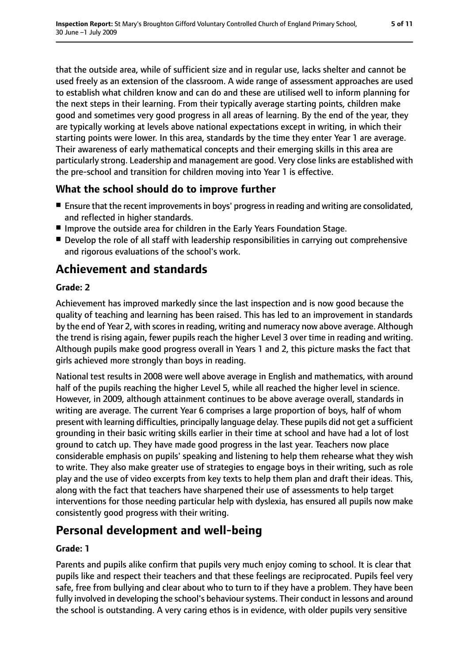that the outside area, while of sufficient size and in regular use, lacks shelter and cannot be used freely as an extension of the classroom. A wide range of assessment approaches are used to establish what children know and can do and these are utilised well to inform planning for the next steps in their learning. From their typically average starting points, children make good and sometimes very good progress in all areas of learning. By the end of the year, they are typically working at levels above national expectations except in writing, in which their starting points were lower. In this area, standards by the time they enter Year 1 are average. Their awareness of early mathematical concepts and their emerging skills in this area are particularly strong. Leadership and management are good. Very close links are established with the pre-school and transition for children moving into Year 1 is effective.

## **What the school should do to improve further**

- Ensure that the recent improvements in boys' progress in reading and writing are consolidated, and reflected in higher standards.
- Improve the outside area for children in the Early Years Foundation Stage.
- Develop the role of all staff with leadership responsibilities in carrying out comprehensive and rigorous evaluations of the school's work.

## **Achievement and standards**

### **Grade: 2**

Achievement has improved markedly since the last inspection and is now good because the quality of teaching and learning has been raised. This has led to an improvement in standards by the end of Year 2, with scores in reading, writing and numeracy now above average. Although the trend is rising again, fewer pupils reach the higher Level 3 over time in reading and writing. Although pupils make good progress overall in Years 1 and 2, this picture masks the fact that girls achieved more strongly than boys in reading.

National test results in 2008 were well above average in English and mathematics, with around half of the pupils reaching the higher Level 5, while all reached the higher level in science. However, in 2009, although attainment continues to be above average overall, standards in writing are average. The current Year 6 comprises a large proportion of boys, half of whom present with learning difficulties, principally language delay. These pupils did not get a sufficient grounding in their basic writing skills earlier in their time at school and have had a lot of lost ground to catch up. They have made good progress in the last year. Teachers now place considerable emphasis on pupils' speaking and listening to help them rehearse what they wish to write. They also make greater use of strategies to engage boys in their writing, such as role play and the use of video excerpts from key texts to help them plan and draft their ideas. This, along with the fact that teachers have sharpened their use of assessments to help target interventions for those needing particular help with dyslexia, has ensured all pupils now make consistently good progress with their writing.

## **Personal development and well-being**

#### **Grade: 1**

Parents and pupils alike confirm that pupils very much enjoy coming to school. It is clear that pupils like and respect their teachers and that these feelings are reciprocated. Pupils feel very safe, free from bullying and clear about who to turn to if they have a problem. They have been fully involved in developing the school's behaviour systems. Their conduct in lessons and around the school is outstanding. A very caring ethos is in evidence, with older pupils very sensitive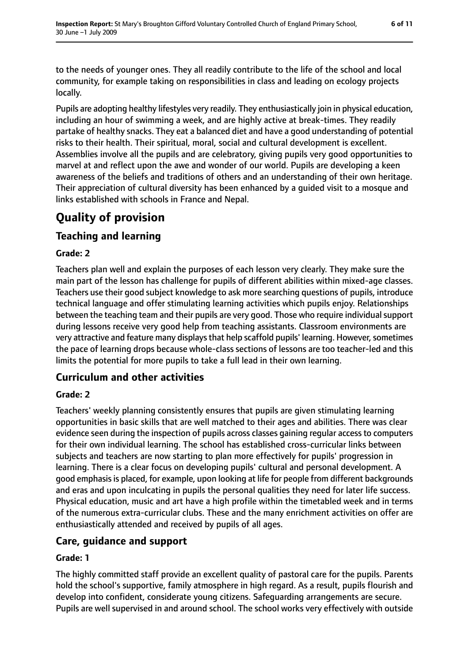to the needs of younger ones. They all readily contribute to the life of the school and local community, for example taking on responsibilities in class and leading on ecology projects locally.

Pupils are adopting healthy lifestyles very readily. They enthusiastically join in physical education, including an hour of swimming a week, and are highly active at break-times. They readily partake of healthy snacks. They eat a balanced diet and have a good understanding of potential risks to their health. Their spiritual, moral, social and cultural development is excellent. Assemblies involve all the pupils and are celebratory, giving pupils very good opportunities to marvel at and reflect upon the awe and wonder of our world. Pupils are developing a keen awareness of the beliefs and traditions of others and an understanding of their own heritage. Their appreciation of cultural diversity has been enhanced by a guided visit to a mosque and links established with schools in France and Nepal.

## **Quality of provision**

### **Teaching and learning**

#### **Grade: 2**

Teachers plan well and explain the purposes of each lesson very clearly. They make sure the main part of the lesson has challenge for pupils of different abilities within mixed-age classes. Teachers use their good subject knowledge to ask more searching questions of pupils, introduce technical language and offer stimulating learning activities which pupils enjoy. Relationships between the teaching team and their pupils are very good. Those who require individual support during lessons receive very good help from teaching assistants. Classroom environments are very attractive and feature many displays that help scaffold pupils' learning. However, sometimes the pace of learning drops because whole-class sections of lessons are too teacher-led and this limits the potential for more pupils to take a full lead in their own learning.

## **Curriculum and other activities**

#### **Grade: 2**

Teachers' weekly planning consistently ensures that pupils are given stimulating learning opportunities in basic skills that are well matched to their ages and abilities. There was clear evidence seen during the inspection of pupils across classes gaining regular access to computers for their own individual learning. The school has established cross-curricular links between subjects and teachers are now starting to plan more effectively for pupils' progression in learning. There is a clear focus on developing pupils' cultural and personal development. A good emphasisis placed, for example, upon looking at life for people from different backgrounds and eras and upon inculcating in pupils the personal qualities they need for later life success. Physical education, music and art have a high profile within the timetabled week and in terms of the numerous extra-curricular clubs. These and the many enrichment activities on offer are enthusiastically attended and received by pupils of all ages.

### **Care, guidance and support**

#### **Grade: 1**

The highly committed staff provide an excellent quality of pastoral care for the pupils. Parents hold the school's supportive, family atmosphere in high regard. As a result, pupils flourish and develop into confident, considerate young citizens. Safeguarding arrangements are secure. Pupils are well supervised in and around school. The school works very effectively with outside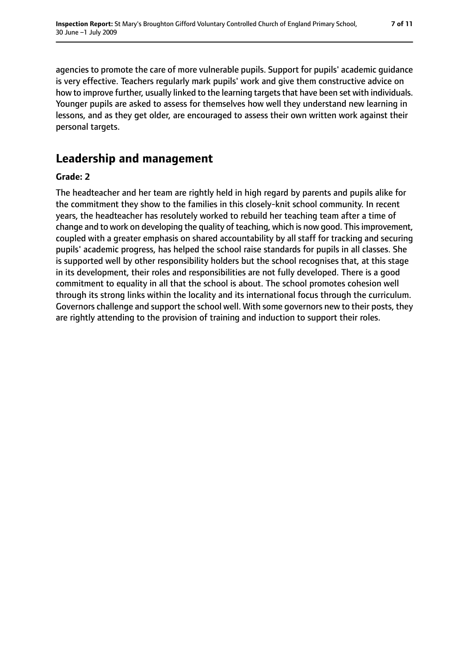agencies to promote the care of more vulnerable pupils. Support for pupils' academic guidance is very effective. Teachers regularly mark pupils' work and give them constructive advice on how to improve further, usually linked to the learning targets that have been set with individuals. Younger pupils are asked to assess for themselves how well they understand new learning in lessons, and as they get older, are encouraged to assess their own written work against their personal targets.

## **Leadership and management**

#### **Grade: 2**

The headteacher and her team are rightly held in high regard by parents and pupils alike for the commitment they show to the families in this closely-knit school community. In recent years, the headteacher has resolutely worked to rebuild her teaching team after a time of change and to work on developing the quality of teaching, which is now good. This improvement, coupled with a greater emphasis on shared accountability by all staff for tracking and securing pupils' academic progress, has helped the school raise standards for pupils in all classes. She is supported well by other responsibility holders but the school recognises that, at this stage in its development, their roles and responsibilities are not fully developed. There is a good commitment to equality in all that the school is about. The school promotes cohesion well through its strong links within the locality and its international focus through the curriculum. Governors challenge and support the school well. With some governors new to their posts, they are rightly attending to the provision of training and induction to support their roles.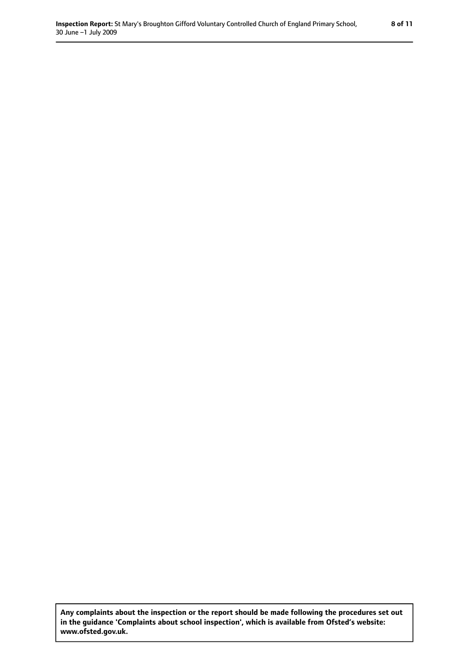**Any complaints about the inspection or the report should be made following the procedures set out in the guidance 'Complaints about school inspection', which is available from Ofsted's website: www.ofsted.gov.uk.**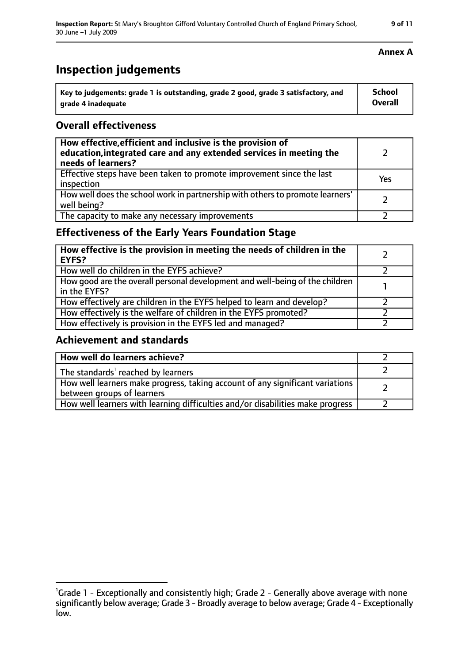## **Inspection judgements**

| Key to judgements: grade 1 is outstanding, grade 2 good, grade 3 satisfactory, and | School  |
|------------------------------------------------------------------------------------|---------|
| arade 4 inadequate                                                                 | Overall |

### **Overall effectiveness**

| How effective, efficient and inclusive is the provision of<br>education, integrated care and any extended services in meeting the<br>needs of learners? |     |
|---------------------------------------------------------------------------------------------------------------------------------------------------------|-----|
| Effective steps have been taken to promote improvement since the last<br>inspection                                                                     | Yes |
| How well does the school work in partnership with others to promote learners'<br>well being?                                                            |     |
| The capacity to make any necessary improvements                                                                                                         |     |

## **Effectiveness of the Early Years Foundation Stage**

| How effective is the provision in meeting the needs of children in the<br>l EYFS?            |  |
|----------------------------------------------------------------------------------------------|--|
| How well do children in the EYFS achieve?                                                    |  |
| How good are the overall personal development and well-being of the children<br>in the EYFS? |  |
| How effectively are children in the EYFS helped to learn and develop?                        |  |
| How effectively is the welfare of children in the EYFS promoted?                             |  |
| How effectively is provision in the EYFS led and managed?                                    |  |

#### **Achievement and standards**

| How well do learners achieve?                                                                                 |  |
|---------------------------------------------------------------------------------------------------------------|--|
| The standards <sup>1</sup> reached by learners                                                                |  |
| How well learners make progress, taking account of any significant variations  <br>between groups of learners |  |
| How well learners with learning difficulties and/or disabilities make progress                                |  |

<sup>&</sup>lt;sup>1</sup>Grade 1 - Exceptionally and consistently high; Grade 2 - Generally above average with none significantly below average; Grade 3 - Broadly average to below average; Grade 4 - Exceptionally low.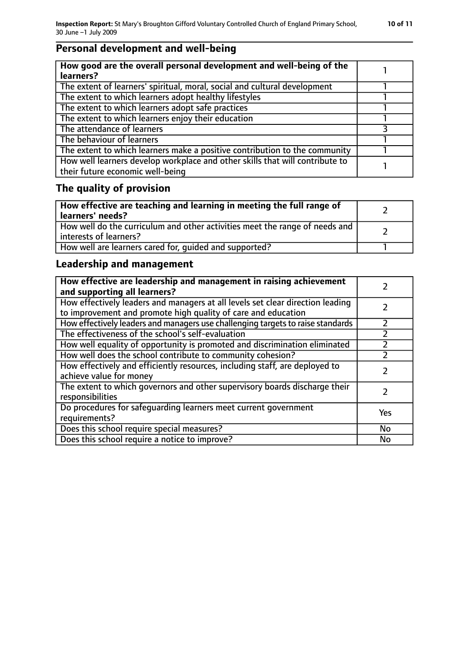## **Personal development and well-being**

| How good are the overall personal development and well-being of the<br>learners?                                 |  |
|------------------------------------------------------------------------------------------------------------------|--|
| The extent of learners' spiritual, moral, social and cultural development                                        |  |
| The extent to which learners adopt healthy lifestyles                                                            |  |
| The extent to which learners adopt safe practices                                                                |  |
| The extent to which learners enjoy their education                                                               |  |
| The attendance of learners                                                                                       |  |
| The behaviour of learners                                                                                        |  |
| The extent to which learners make a positive contribution to the community                                       |  |
| How well learners develop workplace and other skills that will contribute to<br>their future economic well-being |  |

## **The quality of provision**

| How effective are teaching and learning in meeting the full range of<br>learners' needs?              |  |
|-------------------------------------------------------------------------------------------------------|--|
| How well do the curriculum and other activities meet the range of needs and<br>interests of learners? |  |
| How well are learners cared for, quided and supported?                                                |  |

## **Leadership and management**

| How effective are leadership and management in raising achievement<br>and supporting all learners?                                              |           |
|-------------------------------------------------------------------------------------------------------------------------------------------------|-----------|
| How effectively leaders and managers at all levels set clear direction leading<br>to improvement and promote high quality of care and education |           |
| How effectively leaders and managers use challenging targets to raise standards                                                                 | フ         |
| The effectiveness of the school's self-evaluation                                                                                               |           |
| How well equality of opportunity is promoted and discrimination eliminated                                                                      |           |
| How well does the school contribute to community cohesion?                                                                                      |           |
| How effectively and efficiently resources, including staff, are deployed to<br>achieve value for money                                          |           |
| The extent to which governors and other supervisory boards discharge their<br>responsibilities                                                  |           |
| Do procedures for safequarding learners meet current government<br>requirements?                                                                | Yes       |
| Does this school require special measures?                                                                                                      | <b>No</b> |
| Does this school require a notice to improve?                                                                                                   | No        |